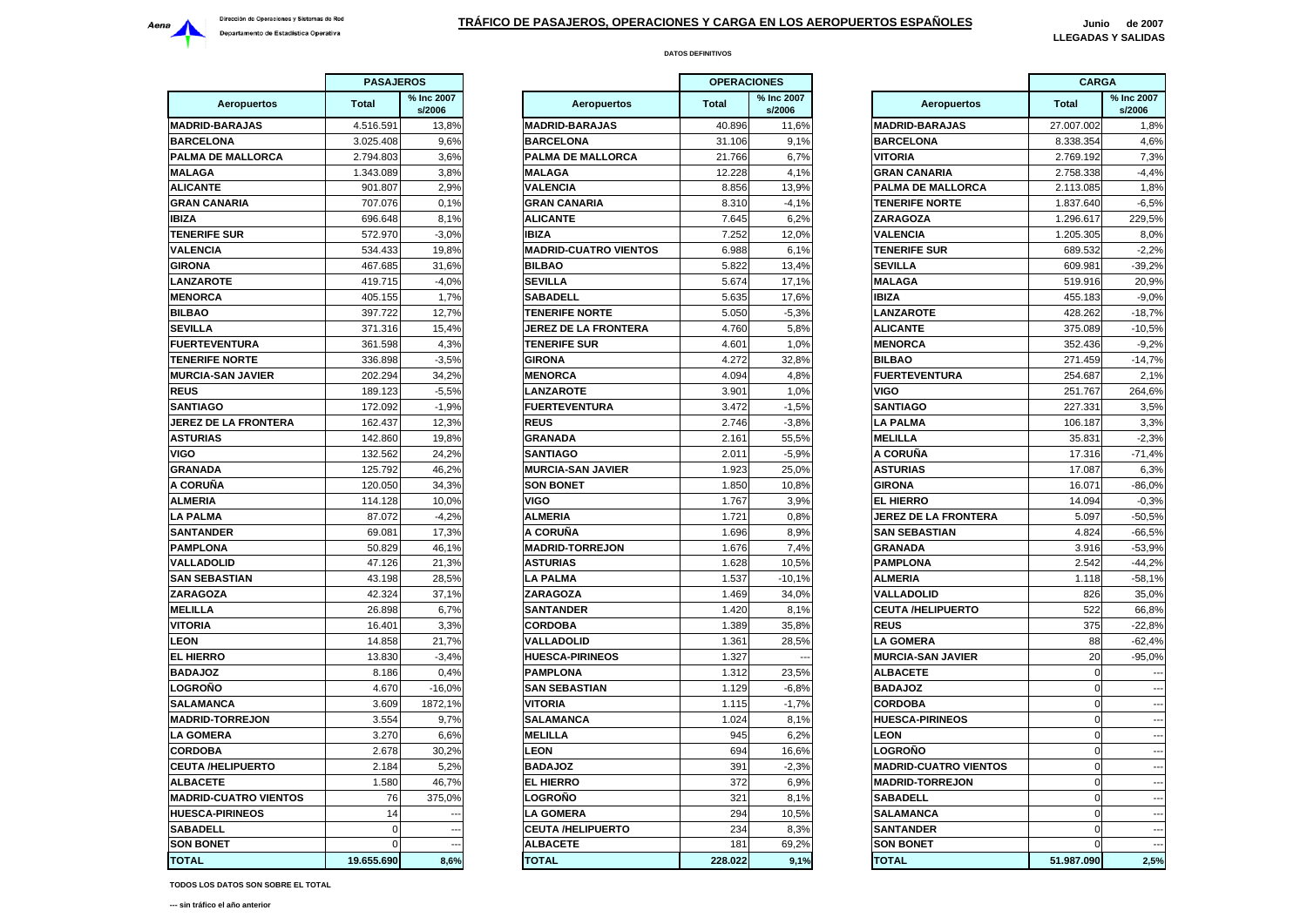

**DATOS DEFINITIVOS**

|                              | <b>PASAJEROS</b> |                      |                    |
|------------------------------|------------------|----------------------|--------------------|
| <b>Aeropuertos</b>           | <b>Total</b>     | % Inc 2007<br>s/2006 | Ae                 |
| <b>MADRID-BARAJAS</b>        | 4.516.591        | 13,8%                | <b>MADRID-BAI</b>  |
| <b>BARCELONA</b>             | 3.025.408        | 9,6%                 | <b>BARCELONA</b>   |
| PALMA DE MALLORCA            | 2.794.803        | 3,6%                 | <b>PALMA DE N</b>  |
| <b>MALAGA</b>                | 1.343.089        | 3,8%                 | <b>MALAGA</b>      |
| <b>ALICANTE</b>              | 901.807          | 2,9%                 | <b>VALENCIA</b>    |
| <b>GRAN CANARIA</b>          | 707.076          | 0,1%                 | <b>GRAN CANA</b>   |
| <b>IBIZA</b>                 | 696.648          | 8,1%                 | <b>ALICANTE</b>    |
| <b>TENERIFE SUR</b>          | 572.970          | $-3,0%$              | <b>IBIZA</b>       |
| <b>VALENCIA</b>              | 534.433          | 19,8%                | <b>MADRID-CU</b>   |
| <b>GIRONA</b>                | 467.685          | 31,6%                | <b>BILBAO</b>      |
| <b>LANZAROTE</b>             | 419.715          | $-4,0%$              | <b>SEVILLA</b>     |
| <b>MENORCA</b>               | 405.155          | 1,7%                 | SABADELL           |
| <b>BILBAO</b>                | 397.722          | 12.7%                | <b>TENERIFE N</b>  |
| <b>SEVILLA</b>               | 371.316          | 15,4%                | <b>JEREZ DE L/</b> |
| <b>FUERTEVENTURA</b>         | 361.598          | 4,3%                 | <b>TENERIFE SI</b> |
| <b>TENERIFE NORTE</b>        | 336.898          | $-3,5%$              | <b>GIRONA</b>      |
| <b>MURCIA-SAN JAVIER</b>     | 202.294          | 34,2%                | <b>MENORCA</b>     |
| <b>REUS</b>                  | 189.123          | $-5,5%$              | <b>LANZAROTE</b>   |
| <b>SANTIAGO</b>              | 172.092          | $-1,9%$              | <b>FUERTEVEN</b>   |
| <b>JEREZ DE LA FRONTERA</b>  | 162.437          | 12,3%                | <b>REUS</b>        |
| <b>ASTURIAS</b>              | 142.860          | 19,8%                | <b>GRANADA</b>     |
| VIGO                         | 132.562          | 24,2%                | <b>SANTIAGO</b>    |
| <b>GRANADA</b>               | 125.792          | 46,2%                | <b>MURCIA-SAN</b>  |
| A CORUÑA                     | 120.050          | 34,3%                | <b>SON BONET</b>   |
| <b>ALMERIA</b>               | 114.128          | 10,0%                | <b>VIGO</b>        |
| <b>LA PALMA</b>              | 87.072           | $-4,2%$              | <b>ALMERIA</b>     |
| <b>SANTANDER</b>             | 69.081           | 17,3%                | A CORUÑA           |
| <b>PAMPLONA</b>              | 50.829           | 46,1%                | <b>MADRID-TOF</b>  |
| VALLADOLID                   | 47.126           | 21,3%                | <b>ASTURIAS</b>    |
| <b>SAN SEBASTIAN</b>         | 43.198           | 28,5%                | <b>LA PALMA</b>    |
| <b>ZARAGOZA</b>              | 42.324           | 37,1%                | <b>ZARAGOZA</b>    |
| <b>MELILLA</b>               | 26.898           | 6,7%                 | <b>SANTANDER</b>   |
| VITORIA                      | 16.401           | 3,3%                 | <b>CORDOBA</b>     |
| LEON                         | 14.858           | 21,7%                | VALLADOLID         |
| <b>EL HIERRO</b>             | 13.830           | $-3,4%$              | <b>HUESCA-PIR</b>  |
| <b>BADAJOZ</b>               | 8.186            | 0,4%                 | <b>PAMPLONA</b>    |
| <b>LOGROÑO</b>               | 4.670            | $-16,0%$             | <b>SAN SEBAS</b>   |
| SALAMANCA                    | 3.609            | 1872,1%              | <b>VITORIA</b>     |
| <b>MADRID-TORREJON</b>       | 3.554            | 9,7%                 | <b>SALAMANC/</b>   |
| <b>LA GOMERA</b>             | 3.270            | 6.6%                 | <b>MELILLA</b>     |
| <b>CORDOBA</b>               | 2.678            | 30,2%                | <b>LEON</b>        |
| <b>CEUTA /HELIPUERTO</b>     | 2.184            | 5,2%                 | <b>BADAJOZ</b>     |
| <b>ALBACETE</b>              | 1.580            | 46,7%                | EL HIERRO          |
| <b>MADRID-CUATRO VIENTOS</b> | 76               | 375,0%               | <b>LOGROÑO</b>     |
| <b>HUESCA-PIRINEOS</b>       | 14               |                      | <b>LA GOMERA</b>   |
| <b>SABADELL</b>              | 0                |                      | <b>CEUTA /HEL</b>  |
| <b>SON BONET</b>             | 0                |                      | <b>ALBACETE</b>    |
| <b>TOTAL</b>                 | 19.655.690       | 8.6%                 | <b>TOTAL</b>       |
|                              |                  |                      |                    |

| <b>PASAJEROS</b><br><b>Aeropuertos</b><br><b>Total</b> |            |                          |                              | <b>OPERACIONES</b> |                      |                              | <b>CARGA</b> |                      |  |
|--------------------------------------------------------|------------|--------------------------|------------------------------|--------------------|----------------------|------------------------------|--------------|----------------------|--|
|                                                        |            | % Inc 2007<br>s/2006     | Aeropuertos                  |                    | % Inc 2007<br>s/2006 | <b>Aeropuertos</b>           | <b>Total</b> | % Inc 2007<br>s/2006 |  |
| <b>DRID-BARAJAS</b>                                    | 4.516.591  | 13,8%                    | <b>MADRID-BARAJAS</b>        | 40.896             | 11,6%                | <b>MADRID-BARAJAS</b>        | 27.007.002   | 1,8%                 |  |
| <b>RCELONA</b>                                         | 3.025.408  | 9.6%                     | <b>BARCELONA</b>             | 31.106             | 9,1%                 | <b>BARCELONA</b>             | 8.338.354    | 4,6%                 |  |
| <b>MA DE MALLORCA</b>                                  | 2.794.803  | 3,6%                     | PALMA DE MALLORCA            | 21.766             | 6,7%                 | <b>VITORIA</b>               | 2.769.192    | 7,3%                 |  |
| LAGA                                                   | 1.343.089  | 3,8%                     | <b>MALAGA</b>                | 12.228             | 4,1%                 | <b>GRAN CANARIA</b>          | 2.758.338    | $-4,4%$              |  |
| CANTE                                                  | 901.807    | 2,9%                     | <b>VALENCIA</b>              | 8.856              | 13,9%                | PALMA DE MALLORCA            | 2.113.085    | 1,8%                 |  |
| AN CANARIA                                             | 707.076    | 0,1%                     | <b>GRAN CANARIA</b>          | 8.310              | $-4,1%$              | <b>TENERIFE NORTE</b>        | 1.837.640    | $-6,5%$              |  |
| 'A                                                     | 696.648    | 8,1%                     | <b>ALICANTE</b>              | 7.645              | 6,2%                 | ZARAGOZA                     | 1.296.617    | 229,5%               |  |
| <b>IERIFE SUR</b>                                      | 572.970    | $-3,0%$                  | <b>IBIZA</b>                 | 7.252              | 12,0%                | <b>VALENCIA</b>              | 1.205.305    | 8,0%                 |  |
| <b>ENCIA</b>                                           | 534.433    | 19,8%                    | <b>MADRID-CUATRO VIENTOS</b> | 6.988              | 6,1%                 | <b>TENERIFE SUR</b>          | 689.532      | $-2,2%$              |  |
| ONA                                                    | 467.685    | 31,6%                    | <b>BILBAO</b>                | 5.822              | 13,4%                | <b>SEVILLA</b>               | 609.981      | $-39,2%$             |  |
| <b>IZAROTE</b>                                         | 419.715    | $-4,0%$                  | <b>SEVILLA</b>               | 5.674              | 17,1%                | <b>MALAGA</b>                | 519.916      | 20,9%                |  |
| <b>NORCA</b>                                           | 405.155    | 1,7%                     | <b>SABADELL</b>              | 5.635              | 17,6%                | IBIZA                        | 455.183      | $-9,0%$              |  |
| BAO                                                    | 397.722    | 12,7%                    | <b>TENERIFE NORTE</b>        | 5.050              | $-5,3%$              | <b>LANZAROTE</b>             | 428.262      | $-18,7%$             |  |
| <b>IILLA</b>                                           | 371.316    | 15.4%                    | <b>JEREZ DE LA FRONTERA</b>  | 4.760              | 5,8%                 | <b>ALICANTE</b>              | 375.089      | $-10.5%$             |  |
| <b>ERTEVENTURA</b>                                     | 361.598    | 4,3%                     | <b>TENERIFE SUR</b>          | 4.601              | 1,0%                 | <b>MENORCA</b>               | 352.436      | $-9,2%$              |  |
| <b>IERIFE NORTE</b>                                    | 336.898    | $-3,5%$                  | <b>GIRONA</b>                | 4.272              | 32,8%                | <b>BILBAO</b>                | 271.459      | $-14,7%$             |  |
| <b>RCIA-SAN JAVIER</b>                                 | 202.294    | 34,2%                    | <b>MENORCA</b>               | 4.094              | 4,8%                 | <b>FUERTEVENTURA</b>         | 254.687      | 2,1%                 |  |
| JS                                                     | 189.123    | $-5,5%$                  | <b>LANZAROTE</b>             | 3.901              | 1,0%                 | <b>VIGO</b>                  | 251.767      | 264,6%               |  |
| <b>ATIAGO</b>                                          | 172.092    | $-1,9%$                  | <b>FUERTEVENTURA</b>         | 3.472              | $-1,5%$              | <b>SANTIAGO</b>              | 227.331      | 3,5%                 |  |
| <b>EZ DE LA FRONTERA</b>                               | 162.437    | 12,3%                    | <b>REUS</b>                  | 2.746              | $-3,8%$              | <b>LA PALMA</b>              | 106.187      | 3,3%                 |  |
| <b>TURIAS</b>                                          | 142,860    | 19,8%                    | <b>GRANADA</b>               | 2.161              | 55,5%                | <b>MELILLA</b>               | 35.831       | $-2,3%$              |  |
| O                                                      | 132.562    | 24,2%                    | <b>SANTIAGO</b>              | 2.011              | $-5,9%$              | A CORUÑA                     | 17.316       | $-71,4%$             |  |
| ANADA                                                  | 125.792    | 46,2%                    | <b>MURCIA-SAN JAVIER</b>     | 1.923              | 25,0%                | <b>ASTURIAS</b>              | 17.087       | 6,3%                 |  |
| ORUÑA                                                  | 120.050    | 34,3%                    | <b>SON BONET</b>             | 1.850              | 10,8%                | GIRONA                       | 16.071       | $-86,0%$             |  |
| <b>IERIA</b>                                           | 114.128    | 10,0%                    | <b>VIGO</b>                  | 1.767              | 3,9%                 | <b>EL HIERRO</b>             | 14.094       | $-0,3%$              |  |
| PALMA                                                  | 87.072     | $-4,2%$                  | <b>ALMERIA</b>               | 1.721              | 0,8%                 | <b>JEREZ DE LA FRONTERA</b>  | 5.097        | $-50,5%$             |  |
| <b>ITANDER</b>                                         | 69.081     | 17,3%                    | A CORUÑA                     | 1.696              | 8,9%                 | <b>SAN SEBASTIAN</b>         | 4.824        | $-66,5%$             |  |
| <b>APLONA</b>                                          | 50.829     | 46,1%                    | <b>MADRID-TORREJON</b>       | 1.676              | 7,4%                 | <b>GRANADA</b>               | 3.916        | $-53,9%$             |  |
| <b>LADOLID</b>                                         | 47.126     | 21,3%                    | <b>ASTURIAS</b>              | 1.628              | 10.5%                | <b>PAMPLONA</b>              | 2.542        | $-44,2%$             |  |
| <b>I SEBASTIAN</b>                                     | 43.198     | 28,5%                    | <b>LA PALMA</b>              | 1.537              | $-10.1%$             | <b>ALMERIA</b>               | 1.118        | $-58,1%$             |  |
| <b>AGOZA</b>                                           | 42.324     | 37,1%                    | ZARAGOZA                     | 1.469              | 34,0%                | <b>VALLADOLID</b>            | 826          | 35,0%                |  |
| LILLA                                                  | 26.898     | 6,7%                     | <b>SANTANDER</b>             | 1.420              | 8,1%                 | <b>CEUTA /HELIPUERTO</b>     | 522          | 66,8%                |  |
| ORIA                                                   | 16.401     | 3,3%                     | <b>CORDOBA</b>               | 1.389              | 35,8%                | <b>REUS</b>                  | 375          | $-22,8%$             |  |
| ЭN                                                     | 14.858     | 21,7%                    | VALLADOLID                   | 1.361              | 28,5%                | <b>LA GOMERA</b>             | 88           | $-62,4%$             |  |
| <b>HIERRO</b>                                          | 13.830     | $-3,4%$                  | <b>HUESCA-PIRINEOS</b>       | 1.327              |                      | <b>MURCIA-SAN JAVIER</b>     | 20           | $-95,0%$             |  |
| <b>SOLAC</b>                                           | 8.186      | 0.4%                     | <b>PAMPLONA</b>              | 1.312              | 23,5%                | <b>ALBACETE</b>              | $\sqrt{ }$   |                      |  |
| <b>GROÑO</b>                                           | 4.670      | $-16,0%$                 | <b>SAN SEBASTIAN</b>         | 1.129              | $-6,8%$              | <b>BADAJOZ</b>               | $\mathbf 0$  |                      |  |
| <b>AMANCA</b>                                          | 3.609      | 1872.1%                  | <b>VITORIA</b>               | 1.115              | $-1,7%$              | <b>CORDOBA</b>               | $\Omega$     |                      |  |
| <b>DRID-TORREJON</b>                                   | 3.554      | 9,7%                     | <b>SALAMANCA</b>             | 1.024              | 8,1%                 | <b>HUESCA-PIRINEOS</b>       | $\Omega$     |                      |  |
| <b>GOMERA</b>                                          | 3.270      | 6,6%                     | <b>MELILLA</b>               | 945                | 6,2%                 | LEON                         | $\mathbf 0$  |                      |  |
| RDOBA                                                  | 2.678      | 30,2%                    | <b>LEON</b>                  | 694                | 16,6%                | LOGROÑO                      | $\Omega$     |                      |  |
| <b>JTA /HELIPUERTO</b>                                 | 2.184      | 5,2%                     | <b>BADAJOZ</b>               | 391                | $-2,3%$              | <b>MADRID-CUATRO VIENTOS</b> | $\mathbf{0}$ |                      |  |
| <b>ACETE</b>                                           | 1.580      | 46,7%                    | <b>EL HIERRO</b>             | 372                | 6,9%                 | <b>MADRID-TORREJON</b>       | $\Omega$     |                      |  |
| <b>DRID-CUATRO VIENTOS</b>                             | 76         | 375,0%                   | LOGROÑO                      | 321                | 8.1%                 | <b>SABADELL</b>              | $\Omega$     |                      |  |
| <b>ESCA-PIRINEOS</b>                                   | 14         | $\overline{\phantom{a}}$ | <b>LA GOMERA</b>             | 294                | 10.5%                | <b>SALAMANCA</b>             |              |                      |  |
| <b>BADELL</b>                                          | $\Omega$   | $\overline{a}$           | <b>CEUTA /HELIPUERTO</b>     | 234                | 8,3%                 | <b>SANTANDER</b>             |              |                      |  |
| <b>N BONET</b>                                         | $\Omega$   |                          | <b>ALBACETE</b>              | 181                | 69,2%                | <b>SON BONET</b>             |              |                      |  |
| <b>TAL</b>                                             | 19.655.690 | 8.6%                     | <b>TOTAL</b>                 | 228.022            | 9.1%                 |                              | 51.987.090   |                      |  |
|                                                        |            |                          |                              |                    |                      | <b>TOTAL</b>                 |              | 2.5%                 |  |

|                      | <b>OPERACIONES</b> |                      |                                      | <b>CARGA</b>     |                      |  |
|----------------------|--------------------|----------------------|--------------------------------------|------------------|----------------------|--|
| eropuertos           | <b>Total</b>       | % Inc 2007<br>s/2006 | <b>Aeropuertos</b>                   | <b>Total</b>     | % Inc 2007<br>s/2006 |  |
| <b>ARAJAS</b>        | 40.896             | 11,6%                | <b>MADRID-BARAJAS</b>                | 27.007.002       | 1,8%                 |  |
| IA                   | 31.106             | 9,1%                 | <b>BARCELONA</b>                     | 8.338.354        | 4,6%                 |  |
| <b>MALLORCA</b>      | 21.766             | 6,7%                 | VITORIA                              | 2.769.192        | 7,3%                 |  |
|                      | 12.228             | 4,1%                 | <b>GRAN CANARIA</b>                  | 2.758.338        | $-4.4%$              |  |
|                      | 8.856              | 13,9%                | PALMA DE MALLORCA                    | 2.113.085        | 1,8%                 |  |
| ARIA                 | 8.310              | $-4,1%$              | <b>TENERIFE NORTE</b>                | 1.837.640        | $-6,5%$              |  |
|                      | 7.645              | 6,2%                 | ZARAGOZA                             | 1.296.617        | 229,5%               |  |
|                      | 7.252              | 12,0%                | <b>VALENCIA</b>                      | 1.205.305        | 8,0%                 |  |
| <b>JATRO VIENTOS</b> | 6.988              | 6,1%                 | <b>TENERIFE SUR</b>                  | 689.532          | $-2,2%$              |  |
|                      | 5.822              | 13,4%                | <b>SEVILLA</b>                       | 609.981          | $-39,2%$             |  |
|                      | 5.674              | 17,1%                | <b>MALAGA</b>                        | 519.916          | 20,9%                |  |
|                      | 5.635              | 17,6%                | <b>IBIZA</b>                         | 455.183          | $-9,0%$              |  |
| <b>NORTE</b>         | 5.050              | $-5,3%$              | <b>LANZAROTE</b>                     | 428.262          | $-18,7%$             |  |
| <b>LA FRONTERA</b>   | 4.760              | 5,8%                 | <b>ALICANTE</b>                      | 375.089          | $-10,5%$             |  |
| SUR                  | 4.601              | 1,0%                 | <b>MENORCA</b>                       | 352.436          | $-9,2%$              |  |
|                      | 4.272              | 32,8%                | <b>BILBAO</b>                        | 271.459          | $-14.7%$             |  |
|                      | 4.094              | 4,8%                 | <b>FUERTEVENTURA</b>                 | 254.687          | 2,1%                 |  |
| Έ                    | 3.901              | 1,0%                 | VIGO                                 | 251.767          | 264,6%               |  |
| <b>NTURA</b>         | 3.472              | $-1,5%$              | <b>SANTIAGO</b>                      | 227.331          | 3,5%                 |  |
|                      | 2.746              | $-3,8%$              | <b>LA PALMA</b>                      | 106.187          | 3,3%                 |  |
|                      | 2.161              | 55,5%                | <b>MELILLA</b>                       | 35.831           | $-2,3%$              |  |
|                      | 2.011              | $-5,9%$              | A CORUÑA                             | 17.316           | $-71,4%$             |  |
| <b>IN JAVIER</b>     | 1.923              | 25,0%                | <b>ASTURIAS</b>                      | 17.087           | 6,3%                 |  |
| т                    | 1.850              | 10,8%                | <b>GIRONA</b>                        | 16.071           | $-86,0%$             |  |
|                      | 1.767              | 3,9%                 | <b>EL HIERRO</b>                     | 14.094           | $-0,3%$              |  |
|                      | 1.721              | 0,8%                 | JEREZ DE LA FRONTERA                 | 5.097            | $-50,5%$             |  |
|                      | 1.696              | 8,9%                 | <b>SAN SEBASTIAN</b>                 | 4.824            | $-66,5%$             |  |
| <b>RREJON</b>        | 1.676              | 7,4%                 | <b>GRANADA</b>                       | 3.916            | $-53,9%$             |  |
|                      | 1.628              | 10,5%                | <b>PAMPLONA</b>                      | 2.542            | $-44,2%$             |  |
|                      | 1.537              | $-10,1%$             | <b>ALMERIA</b>                       | 1.118            | $-58,1%$             |  |
|                      | 1.469              | 34,0%                | VALLADOLID                           | 826              | 35,0%                |  |
| R                    | 1.420              | 8,1%                 | <b>CEUTA /HELIPUERTO</b>             | 522              | 66,8%                |  |
|                      | 1.389              | 35,8%                | <b>REUS</b>                          | 375              | $-22,8%$             |  |
| ID                   | 1.361              | 28,5%                | <b>LA GOMERA</b>                     | 88               | $-62,4%$             |  |
| <b>RINEOS</b>        | 1.327              |                      | <b>MURCIA-SAN JAVIER</b>             | 20               | $-95,0%$             |  |
|                      | 1.312              | 23,5%                | <b>ALBACETE</b>                      | $\mathbf 0$      |                      |  |
| STIAN                | 1.129              | $-6,8%$              | <b>BADAJOZ</b>                       | 0                | $\overline{a}$       |  |
|                      | 1.115              | $-1,7%$              | <b>CORDOBA</b>                       | 0                | $\overline{a}$       |  |
| ۵À                   | 1.024              | 8,1%                 | <b>HUESCA-PIRINEOS</b>               | $\Omega$         | --                   |  |
|                      | 945                | 6,2%                 | <b>LEON</b>                          | $\overline{0}$   | --                   |  |
|                      | 694                | 16,6%                | LOGROÑO                              | $\overline{0}$   |                      |  |
|                      | 391                | $-2,3%$              | <b>MADRID-CUATRO VIENTOS</b>         | $\overline{0}$   |                      |  |
|                      | 372                | 6,9%                 | <b>MADRID-TORREJON</b>               | $\Omega$         | $\sim$               |  |
|                      | 321                | 8,1%                 | <b>SABADELL</b>                      | $\mathbf 0$      | Ξ.                   |  |
|                      | 294                | 10,5%                | <b>SALAMANCA</b>                     | $\overline{0}$   | --                   |  |
|                      |                    |                      |                                      |                  |                      |  |
|                      |                    |                      |                                      |                  |                      |  |
| Α<br><b>LIPUERTO</b> | 234<br>181         | 8,3%<br>69,2%        | <b>SANTANDER</b><br><b>SON BONET</b> | 0<br>$\mathbf 0$ | Ξ.<br>$\overline{a}$ |  |

**TODOS LOS DATOS SON SOBRE EL TOTAL**